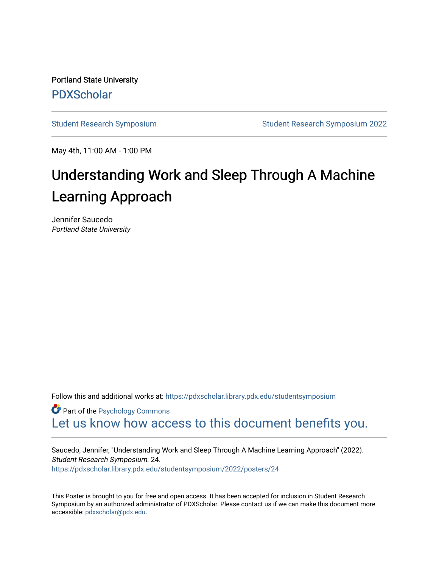Portland State University [PDXScholar](https://pdxscholar.library.pdx.edu/)

[Student Research Symposium](https://pdxscholar.library.pdx.edu/studentsymposium) [Student Research Symposium 2022](https://pdxscholar.library.pdx.edu/studentsymposium/2022) 

May 4th, 11:00 AM - 1:00 PM

#### Understanding Work and Sleep Through A Machine Learning Approach

Jennifer Saucedo Portland State University

Follow this and additional works at: [https://pdxscholar.library.pdx.edu/studentsymposium](https://pdxscholar.library.pdx.edu/studentsymposium?utm_source=pdxscholar.library.pdx.edu%2Fstudentsymposium%2F2022%2Fposters%2F24&utm_medium=PDF&utm_campaign=PDFCoverPages) 

**Part of the Psychology Commons** [Let us know how access to this document benefits you.](http://library.pdx.edu/services/pdxscholar-services/pdxscholar-feedback/) 

Saucedo, Jennifer, "Understanding Work and Sleep Through A Machine Learning Approach" (2022). Student Research Symposium. 24. [https://pdxscholar.library.pdx.edu/studentsymposium/2022/posters/24](https://pdxscholar.library.pdx.edu/studentsymposium/2022/posters/24?utm_source=pdxscholar.library.pdx.edu%2Fstudentsymposium%2F2022%2Fposters%2F24&utm_medium=PDF&utm_campaign=PDFCoverPages)

This Poster is brought to you for free and open access. It has been accepted for inclusion in Student Research Symposium by an authorized administrator of PDXScholar. Please contact us if we can make this document more accessible: [pdxscholar@pdx.edu.](mailto:pdxscholar@pdx.edu)